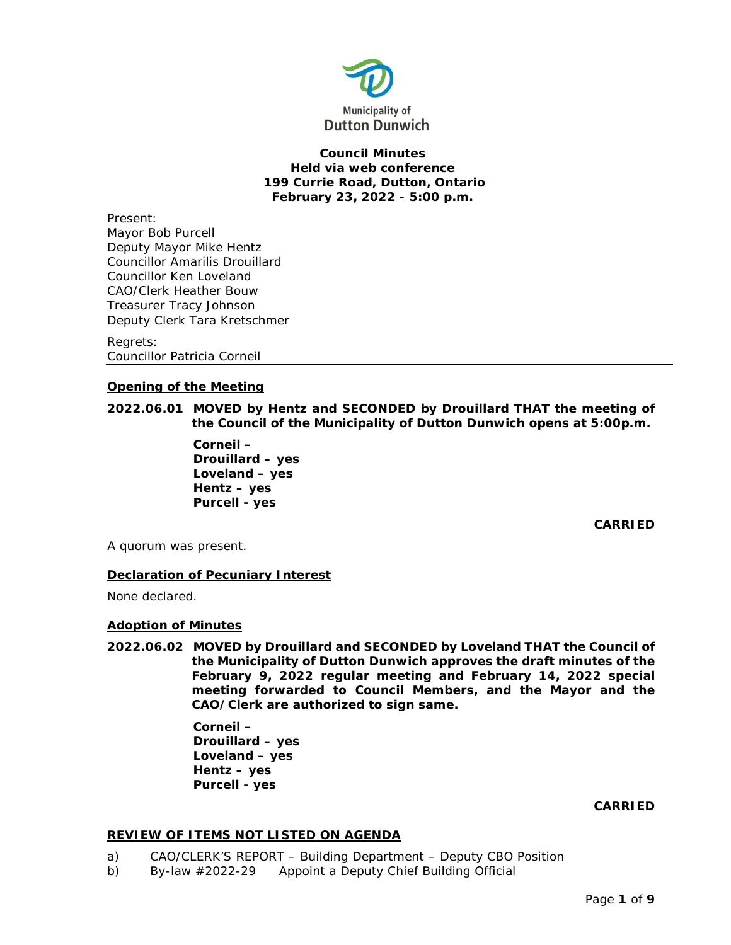

**Council Minutes Held via web conference 199 Currie Road, Dutton, Ontario February 23, 2022 - 5:00 p.m.**

Present: Mayor Bob Purcell Deputy Mayor Mike Hentz Councillor Amarilis Drouillard Councillor Ken Loveland CAO/Clerk Heather Bouw Treasurer Tracy Johnson Deputy Clerk Tara Kretschmer

Regrets: Councillor Patricia Corneil

# **Opening of the Meeting**

**2022.06.01 MOVED by Hentz and SECONDED by Drouillard THAT the meeting of the Council of the Municipality of Dutton Dunwich opens at 5:00p.m.**

> **Corneil – Drouillard – yes Loveland – yes Hentz – yes Purcell - yes**

> > **CARRIED**

A quorum was present.

## **Declaration of Pecuniary Interest**

None declared.

## **Adoption of Minutes**

**2022.06.02 MOVED by Drouillard and SECONDED by Loveland THAT the Council of the Municipality of Dutton Dunwich approves the draft minutes of the February 9, 2022 regular meeting and February 14, 2022 special meeting forwarded to Council Members, and the Mayor and the CAO/Clerk are authorized to sign same.**

> **Corneil – Drouillard – yes Loveland – yes Hentz – yes Purcell - yes**

> > **CARRIED**

## **REVIEW OF ITEMS NOT LISTED ON AGENDA**

- a) CAO/CLERK'S REPORT Building Department Deputy CBO Position
- b) By-law #2022-29 Appoint a Deputy Chief Building Official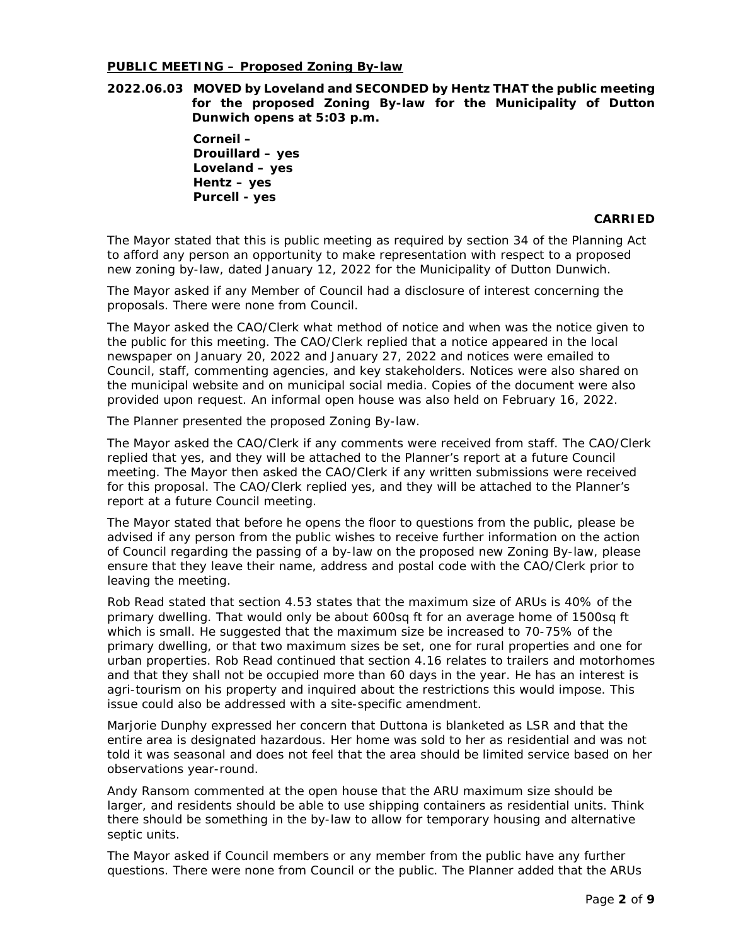## **PUBLIC MEETING – Proposed Zoning By-law**

**2022.06.03 MOVED by Loveland and SECONDED by Hentz THAT the public meeting for the proposed Zoning By-law for the Municipality of Dutton Dunwich opens at 5:03 p.m.**

> **Corneil – Drouillard – yes Loveland – yes Hentz – yes Purcell - yes**

### **CARRIED**

The Mayor stated that this is public meeting as required by section 34 of the Planning Act to afford any person an opportunity to make representation with respect to a proposed new zoning by-law, dated January 12, 2022 for the Municipality of Dutton Dunwich.

The Mayor asked if any Member of Council had a disclosure of interest concerning the proposals. There were none from Council.

The Mayor asked the CAO/Clerk what method of notice and when was the notice given to the public for this meeting. The CAO/Clerk replied that a notice appeared in the local newspaper on January 20, 2022 and January 27, 2022 and notices were emailed to Council, staff, commenting agencies, and key stakeholders. Notices were also shared on the municipal website and on municipal social media. Copies of the document were also provided upon request. An informal open house was also held on February 16, 2022.

The Planner presented the proposed Zoning By-law.

The Mayor asked the CAO/Clerk if any comments were received from staff. The CAO/Clerk replied that yes, and they will be attached to the Planner's report at a future Council meeting. The Mayor then asked the CAO/Clerk if any written submissions were received for this proposal. The CAO/Clerk replied yes, and they will be attached to the Planner's report at a future Council meeting.

The Mayor stated that before he opens the floor to questions from the public, please be advised if any person from the public wishes to receive further information on the action of Council regarding the passing of a by-law on the proposed new Zoning By-law, please ensure that they leave their name, address and postal code with the CAO/Clerk prior to leaving the meeting.

Rob Read stated that section 4.53 states that the maximum size of ARUs is 40% of the primary dwelling. That would only be about 600sq ft for an average home of 1500sq ft which is small. He suggested that the maximum size be increased to 70-75% of the primary dwelling, or that two maximum sizes be set, one for rural properties and one for urban properties. Rob Read continued that section 4.16 relates to trailers and motorhomes and that they shall not be occupied more than 60 days in the year. He has an interest is agri-tourism on his property and inquired about the restrictions this would impose. This issue could also be addressed with a site-specific amendment.

Marjorie Dunphy expressed her concern that Duttona is blanketed as LSR and that the entire area is designated hazardous. Her home was sold to her as residential and was not told it was seasonal and does not feel that the area should be limited service based on her observations year-round.

Andy Ransom commented at the open house that the ARU maximum size should be larger, and residents should be able to use shipping containers as residential units. Think there should be something in the by-law to allow for temporary housing and alternative septic units.

The Mayor asked if Council members or any member from the public have any further questions. There were none from Council or the public. The Planner added that the ARUs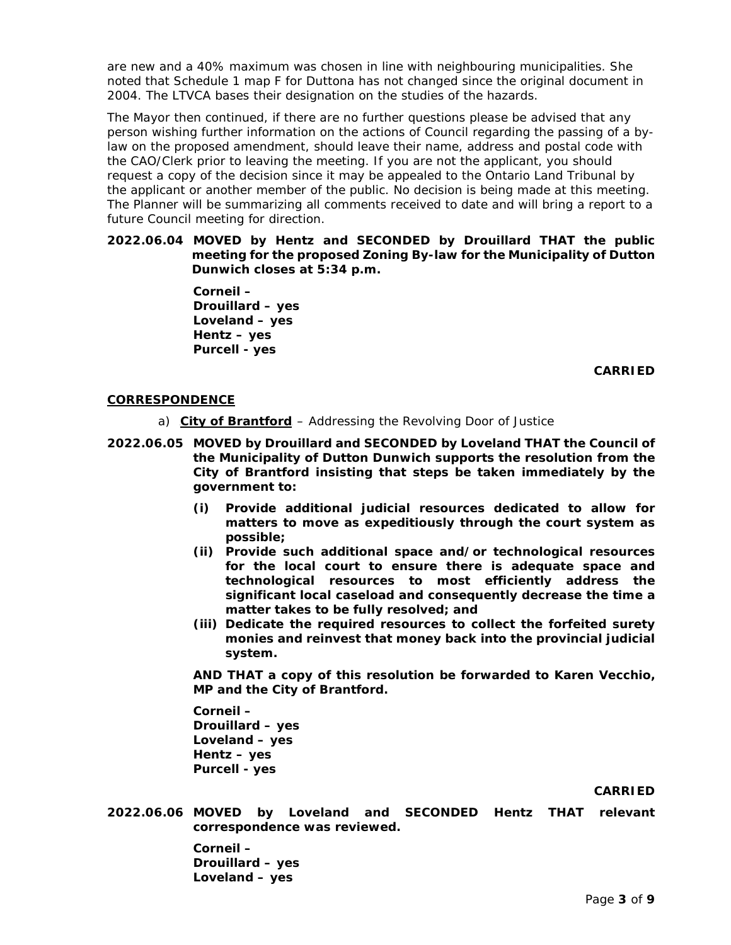are new and a 40% maximum was chosen in line with neighbouring municipalities. She noted that Schedule 1 map F for Duttona has not changed since the original document in 2004. The LTVCA bases their designation on the studies of the hazards.

The Mayor then continued, if there are no further questions please be advised that any person wishing further information on the actions of Council regarding the passing of a bylaw on the proposed amendment, should leave their name, address and postal code with the CAO/Clerk prior to leaving the meeting. If you are not the applicant, you should request a copy of the decision since it may be appealed to the Ontario Land Tribunal by the applicant or another member of the public. No decision is being made at this meeting. The Planner will be summarizing all comments received to date and will bring a report to a future Council meeting for direction.

## **2022.06.04 MOVED by Hentz and SECONDED by Drouillard THAT the public meeting for the proposed Zoning By-law for the Municipality of Dutton Dunwich closes at 5:34 p.m.**

**Corneil – Drouillard – yes Loveland – yes Hentz – yes Purcell - yes**

**CARRIED**

# **CORRESPONDENCE**

- a) **City of Brantford** Addressing the Revolving Door of Justice
- **2022.06.05 MOVED by Drouillard and SECONDED by Loveland THAT the Council of the Municipality of Dutton Dunwich supports the resolution from the City of Brantford insisting that steps be taken immediately by the government to:**
	- **(i) Provide additional judicial resources dedicated to allow for matters to move as expeditiously through the court system as possible;**
	- **(ii) Provide such additional space and/or technological resources for the local court to ensure there is adequate space and technological resources to most efficiently address the significant local caseload and consequently decrease the time a matter takes to be fully resolved; and**
	- **(iii) Dedicate the required resources to collect the forfeited surety monies and reinvest that money back into the provincial judicial system.**

**AND THAT a copy of this resolution be forwarded to Karen Vecchio, MP and the City of Brantford.** 

**Corneil – Drouillard – yes Loveland – yes Hentz – yes Purcell - yes**

# **CARRIED**

**2022.06.06 MOVED by Loveland and SECONDED Hentz THAT relevant correspondence was reviewed.**

> **Corneil – Drouillard – yes Loveland – yes**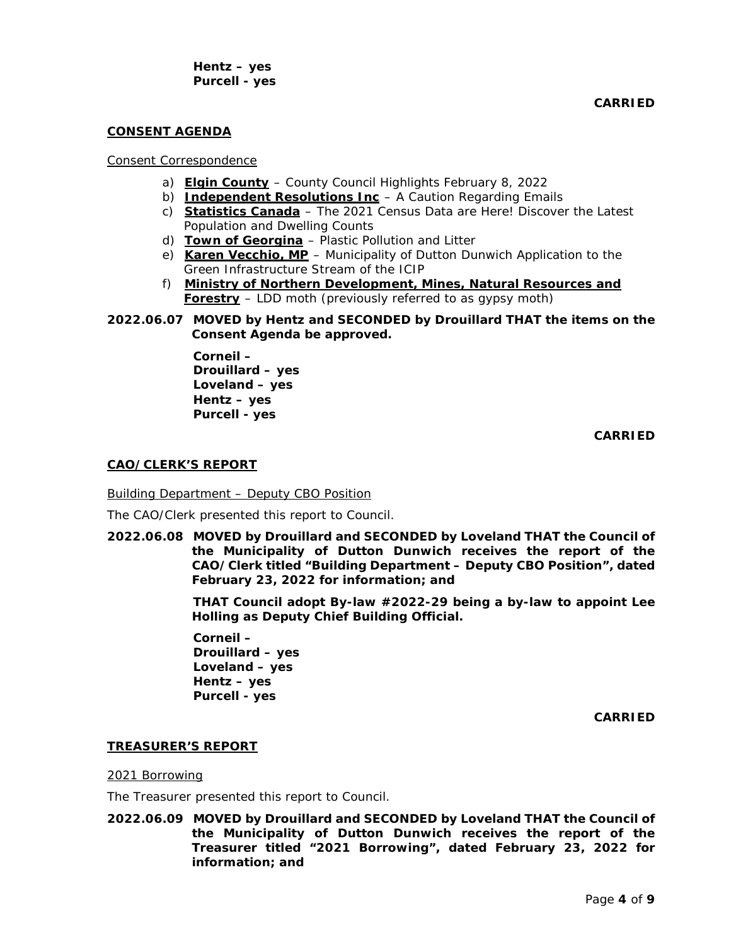**Hentz – yes Purcell - yes**

**CARRIED**

## **CONSENT AGENDA**

## Consent Correspondence

- a) **Elgin County** County Council Highlights February 8, 2022
- b) **Independent Resolutions Inc** A Caution Regarding Emails
- c) **Statistics Canada** The 2021 Census Data are Here! Discover the Latest Population and Dwelling Counts
- d) Town of Georgina Plastic Pollution and Litter
- e) Karen Vecchio, MP Municipality of Dutton Dunwich Application to the Green Infrastructure Stream of the ICIP
- f) <sup>U</sup>**Ministry of Northern Development, Mines, Natural Resources and Forestry** – LDD moth (previously referred to as gypsy moth)
- **2022.06.07 MOVED by Hentz and SECONDED by Drouillard THAT the items on the Consent Agenda be approved.**

**Corneil – Drouillard – yes Loveland – yes Hentz – yes Purcell - yes**

**CARRIED**

### **CAO/CLERK'S REPORT**

Building Department – Deputy CBO Position

The CAO/Clerk presented this report to Council.

**2022.06.08 MOVED by Drouillard and SECONDED by Loveland THAT the Council of the Municipality of Dutton Dunwich receives the report of the CAO/Clerk titled "Building Department – Deputy CBO Position", dated February 23, 2022 for information; and**

> **THAT Council adopt By-law #2022-29 being a by-law to appoint Lee Holling as Deputy Chief Building Official.**

**Corneil – Drouillard – yes Loveland – yes Hentz – yes Purcell - yes**

**CARRIED**

### **TREASURER'S REPORT**

### 2021 Borrowing

The Treasurer presented this report to Council.

**2022.06.09 MOVED by Drouillard and SECONDED by Loveland THAT the Council of the Municipality of Dutton Dunwich receives the report of the Treasurer titled "2021 Borrowing", dated February 23, 2022 for information; and**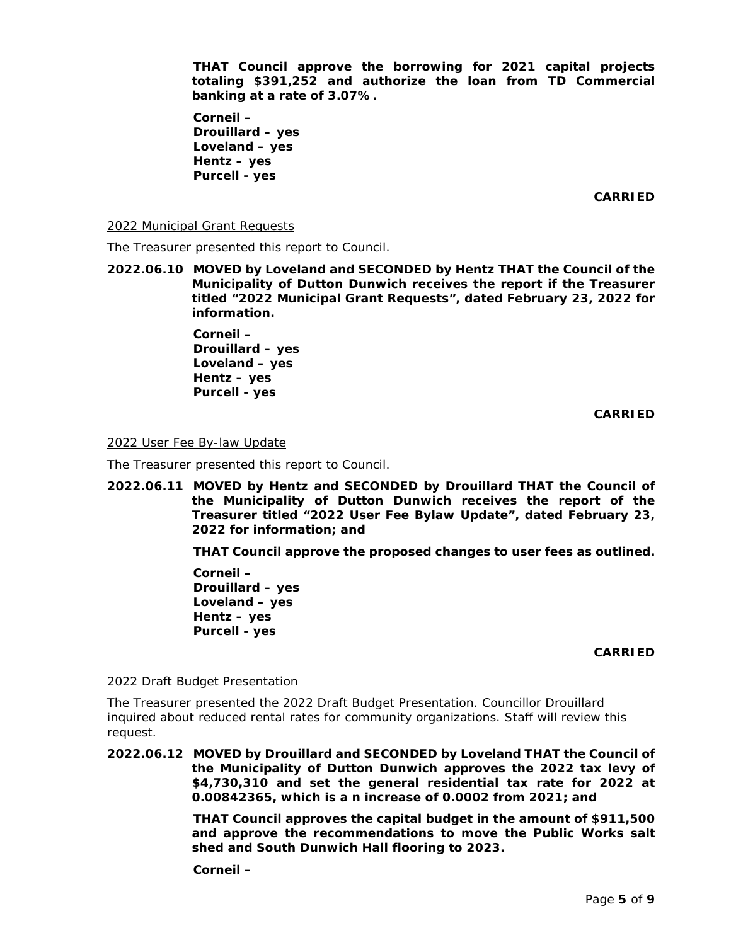**THAT Council approve the borrowing for 2021 capital projects totaling \$391,252 and authorize the loan from TD Commercial banking at a rate of 3.07%.**

**Corneil – Drouillard – yes Loveland – yes Hentz – yes Purcell - yes**

**CARRIED**

2022 Municipal Grant Requests

The Treasurer presented this report to Council.

**2022.06.10 MOVED by Loveland and SECONDED by Hentz THAT the Council of the Municipality of Dutton Dunwich receives the report if the Treasurer titled "2022 Municipal Grant Requests", dated February 23, 2022 for information.**

> **Corneil – Drouillard – yes Loveland – yes Hentz – yes Purcell - yes**

> > **CARRIED**

2022 User Fee By-law Update

The Treasurer presented this report to Council.

**2022.06.11 MOVED by Hentz and SECONDED by Drouillard THAT the Council of the Municipality of Dutton Dunwich receives the report of the Treasurer titled "2022 User Fee Bylaw Update", dated February 23, 2022 for information; and**

**THAT Council approve the proposed changes to user fees as outlined.**

**Corneil – Drouillard – yes Loveland – yes Hentz – yes Purcell - yes**

### **CARRIED**

2022 Draft Budget Presentation

The Treasurer presented the 2022 Draft Budget Presentation. Councillor Drouillard inquired about reduced rental rates for community organizations. Staff will review this request.

**2022.06.12 MOVED by Drouillard and SECONDED by Loveland THAT the Council of the Municipality of Dutton Dunwich approves the 2022 tax levy of \$4,730,310 and set the general residential tax rate for 2022 at 0.00842365, which is a n increase of 0.0002 from 2021; and**

> **THAT Council approves the capital budget in the amount of \$911,500 and approve the recommendations to move the Public Works salt shed and South Dunwich Hall flooring to 2023.**

**Corneil –**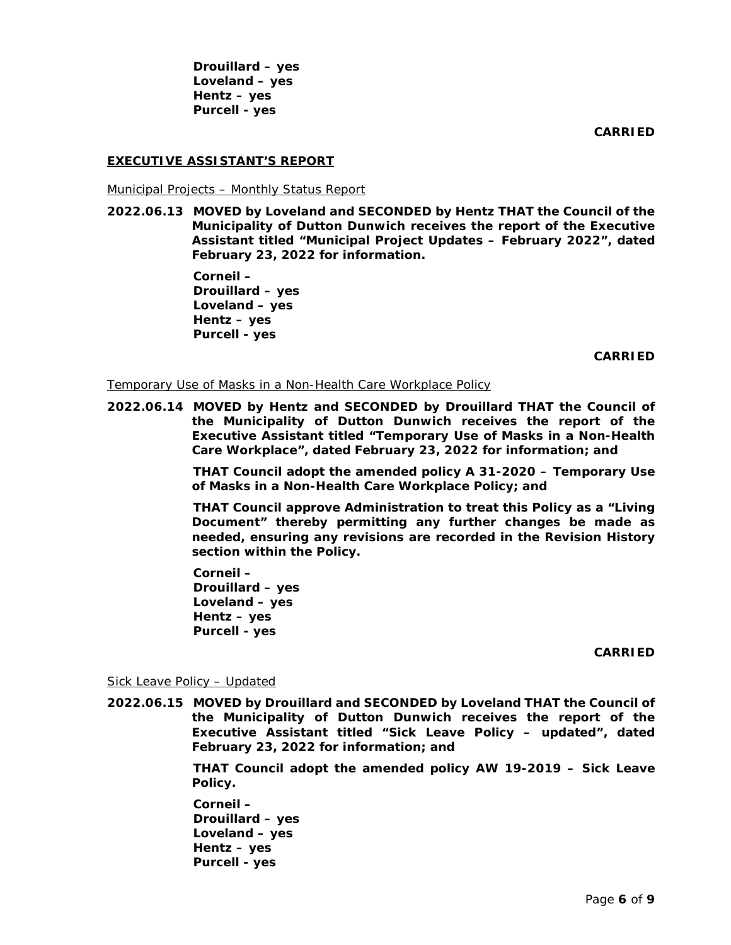**Drouillard – yes Loveland – yes Hentz – yes Purcell - yes**

**CARRIED**

# **EXECUTIVE ASSISTANT'S REPORT**

Municipal Projects – Monthly Status Report

**2022.06.13 MOVED by Loveland and SECONDED by Hentz THAT the Council of the Municipality of Dutton Dunwich receives the report of the Executive Assistant titled "Municipal Project Updates – February 2022", dated February 23, 2022 for information.** 

> **Corneil – Drouillard – yes Loveland – yes Hentz – yes Purcell - yes**

> > **CARRIED**

Temporary Use of Masks in a Non-Health Care Workplace Policy

**2022.06.14 MOVED by Hentz and SECONDED by Drouillard THAT the Council of the Municipality of Dutton Dunwich receives the report of the Executive Assistant titled "Temporary Use of Masks in a Non-Health Care Workplace", dated February 23, 2022 for information; and**

> **THAT Council adopt the amended policy A 31-2020 – Temporary Use of Masks in a Non-Health Care Workplace Policy; and**

> **THAT Council approve Administration to treat this Policy as a "Living Document" thereby permitting any further changes be made as needed, ensuring any revisions are recorded in the Revision History section within the Policy.**

**Corneil – Drouillard – yes Loveland – yes Hentz – yes Purcell - yes**

**CARRIED**

Sick Leave Policy – Updated

**2022.06.15 MOVED by Drouillard and SECONDED by Loveland THAT the Council of the Municipality of Dutton Dunwich receives the report of the Executive Assistant titled "Sick Leave Policy – updated", dated February 23, 2022 for information; and**

> **THAT Council adopt the amended policy AW 19-2019 – Sick Leave Policy.**

**Corneil – Drouillard – yes Loveland – yes Hentz – yes Purcell - yes**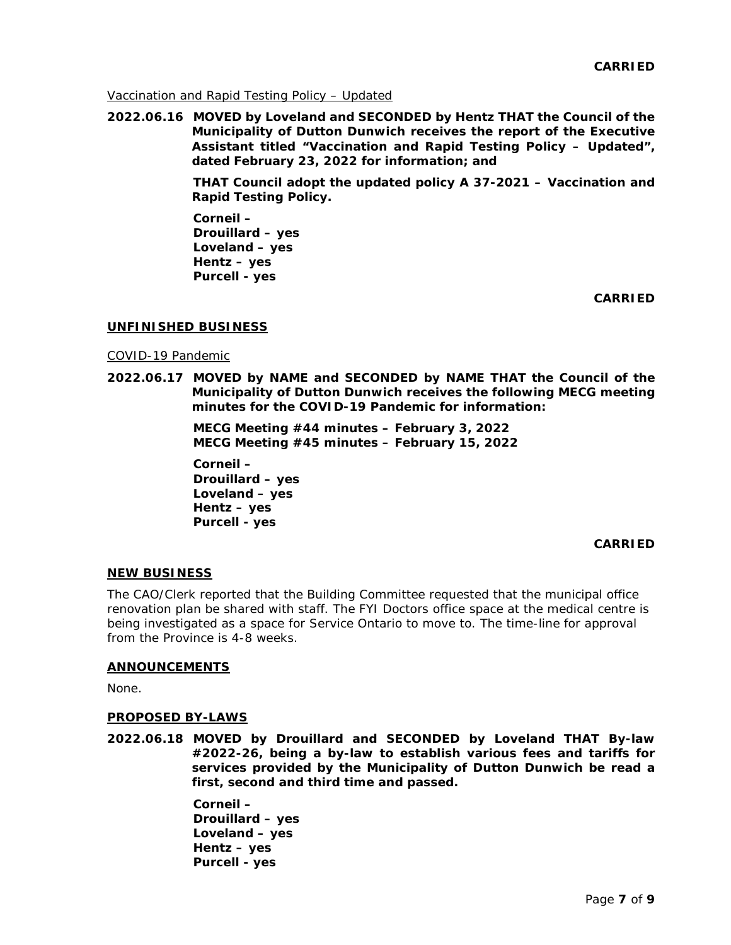Vaccination and Rapid Testing Policy – Updated

**2022.06.16 MOVED by Loveland and SECONDED by Hentz THAT the Council of the Municipality of Dutton Dunwich receives the report of the Executive Assistant titled "Vaccination and Rapid Testing Policy – Updated", dated February 23, 2022 for information; and**

> **THAT Council adopt the updated policy A 37-2021 – Vaccination and Rapid Testing Policy.**

**Corneil – Drouillard – yes Loveland – yes Hentz – yes Purcell - yes**

**CARRIED**

### **UNFINISHED BUSINESS**

### COVID-19 Pandemic

**2022.06.17 MOVED by NAME and SECONDED by NAME THAT the Council of the Municipality of Dutton Dunwich receives the following MECG meeting minutes for the COVID-19 Pandemic for information:**

> **MECG Meeting #44 minutes – February 3, 2022 MECG Meeting #45 minutes – February 15, 2022**

**Corneil – Drouillard – yes Loveland – yes Hentz – yes Purcell - yes**

## **CARRIED**

### **NEW BUSINESS**

The CAO/Clerk reported that the Building Committee requested that the municipal office renovation plan be shared with staff. The FYI Doctors office space at the medical centre is being investigated as a space for Service Ontario to move to. The time-line for approval from the Province is 4-8 weeks.

### **ANNOUNCEMENTS**

None.

### **PROPOSED BY-LAWS**

**2022.06.18 MOVED by Drouillard and SECONDED by Loveland THAT By-law #2022-26, being a by-law to establish various fees and tariffs for services provided by the Municipality of Dutton Dunwich be read a first, second and third time and passed.** 

> **Corneil – Drouillard – yes Loveland – yes Hentz – yes Purcell - yes**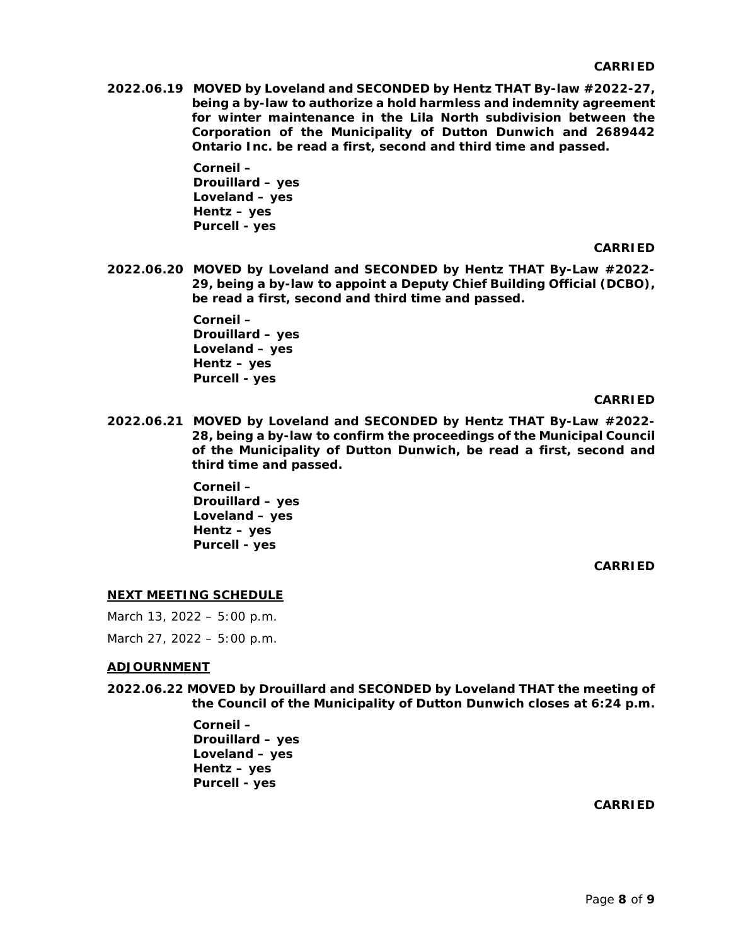**2022.06.19 MOVED by Loveland and SECONDED by Hentz THAT By-law #2022-27, being a by-law to authorize a hold harmless and indemnity agreement for winter maintenance in the Lila North subdivision between the Corporation of the Municipality of Dutton Dunwich and 2689442 Ontario Inc. be read a first, second and third time and passed.** 

> **Corneil – Drouillard – yes Loveland – yes Hentz – yes Purcell - yes**

#### **CARRIED**

**2022.06.20 MOVED by Loveland and SECONDED by Hentz THAT By-Law #2022- 29, being a by-law to appoint a Deputy Chief Building Official (DCBO), be read a first, second and third time and passed.**

> **Corneil – Drouillard – yes Loveland – yes Hentz – yes Purcell - yes**

#### **CARRIED**

**2022.06.21 MOVED by Loveland and SECONDED by Hentz THAT By-Law #2022- 28, being a by-law to confirm the proceedings of the Municipal Council of the Municipality of Dutton Dunwich, be read a first, second and third time and passed.**

> **Corneil – Drouillard – yes Loveland – yes Hentz – yes Purcell - yes**

> > **CARRIED**

### **NEXT MEETING SCHEDULE**

March 13, 2022 – 5:00 p.m. March 27, 2022 – 5:00 p.m.

### **ADJOURNMENT**

**2022.06.22 MOVED by Drouillard and SECONDED by Loveland THAT the meeting of the Council of the Municipality of Dutton Dunwich closes at 6:24 p.m.**

> **Corneil – Drouillard – yes Loveland – yes Hentz – yes Purcell - yes**

> > **CARRIED**